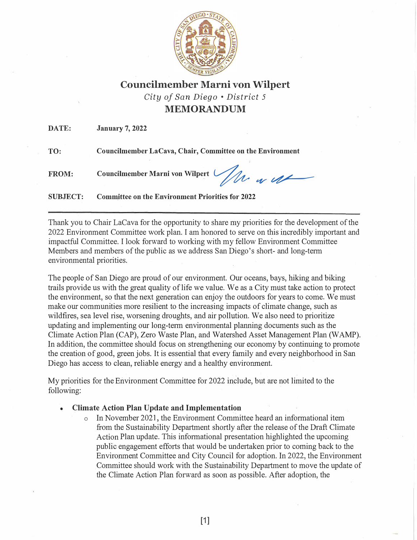

**Councilmember Marni von Wilpert**  *City of San Diego* **•** *District 5*  **MEMORANDUM** 

**DATE: January 7, 2022** 

**TO: Councilmember Lacava, Chair, Committee on the Environment** 

**FROM:** 

Councilmember Marni von Wilpert *(A) w w* 

**SUBJECT: Committee on the Environment Priorities for 2022** 

Thank you to Chair LaCava for the opportunity to share my priorities for the development of the 2022 Environment Committee work plan. I am honored to serve on this incredibly important and impactful Committee. I look forward to working with my fellow Environment Committee Members and members of the public as we address San Diego's short- and long-term environmental priorities.

The people of San Diego are proud of our environment. Our oceans, bays, hiking and biking trails provide us with the great quality of life we value. We as a City must take action to protect the environment, so that the next generation can enjoy the outdoors for years to come. We must make our communities more resilient to the increasing impacts of climate change, such as wildfires, sea level rise, worsening droughts, and air pollution. We also need to prioritize updating and implementing our long-term environmental planning documents such as the Climate Action Plan (CAP), Zero Waste Plan, and Watershed Asset Management Plan (W AMP). In addition, the committee should focus on strengthening our economy by continuing to promote the creation of good, green jobs. It is essential that every family and every neighborhood in San Diego has access to clean, reliable energy and a healthy environment.

My priorities for the Environment Committee for 2022 include, but are not limited to the following:

# **• Climate Action Plan Update and Implementation**

o In November 2021, the Environment Committee heard an informational item from the Sustainability Department shortly after the release of the Draft Climate Action Plan update. This informational presentation highlighted the upcoming public engagement efforts that would be undertaken prior to coming back to the Environment Committee and City Council for adoption. In 2022, the Environment .Committee should work with the Sustainability Department to move the update of the Climate Action Plan forward as soon as possible. After adoption, the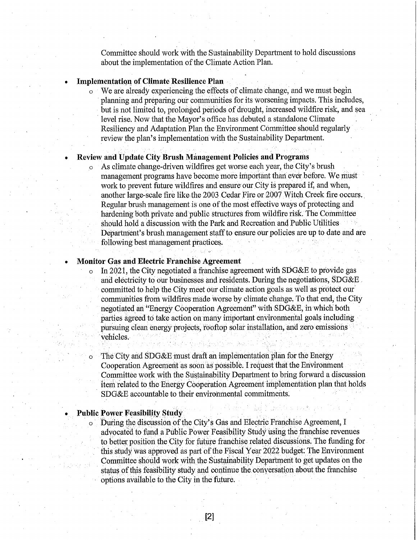Committee should work with the Sustainability Department to hold discussions about the implementation of the Climate Action Plan.

### **Implementation of Climate Resilience Plan**

 $\circ$ 

 $\circ$ 

 $\circ$ 

We are already experiencing the effects of climate change, and we must begin  $\circ$ planning and preparing our communities for its worsening impacts. This includes, but is not limited to, prolonged periods of drought, increased wildfire risk, and sea level rise. Now that the Mayor's office has debuted a standalone Climate Resiliency and Adaptation Plan the Environment Committee should regularly review the plan's implementation with the Sustainability Department.

#### **Review and Update City Brush Management Policies and Programs**

As climate change-driven wildfires get worse each year, the City's brush management programs have become more important than ever before. We must work to prevent future wildfires and ensure our City is prepared if, and when, another large-scale fire like the 2003 Cedar Fire or 2007 Witch Creek fire occurs. Regular brush management is one of the most effective ways of protecting and hardening both private and public structures from wildfire risk. The Committee should hold a discussion with the Park and Recreation and Public Utilities Department's brush management staff to ensure our policies are up to date and are following best management practices.

## **Monitor Gas and Electric Franchise Agreement**

In 2021, the City negotiated a franchise agreement with SDG&E to provide gas and electricity to our businesses and residents. During the negotiations, SDG&E. committed to help the City meet our climate action goals as well as protect our communities from wildfires made worse by climate change. To that end, the City negotiated an "Energy Cooperation Agreement" with SDG&E, in which both parties agreed to take action on many important environmental goals including pursuing clean energy projects, rooftop solar installation, and zero emissions vehicles.

The City and SDG&E must draft an implementation plan for the Energy Cooperation Agreement as soon as possible. I request that the Environment Committee work with the Sustainability Department to bring forward a discussion item related to the Energy Cooperation Agreement implementation plan that holds SDG&E accountable to their environmental commitments.

# **Public Power Feasibility Study**

During the discussion of the City's Gas and Electric Franchise Agreement, I advocated to fund a Public Power Feasibility Study using the franchise revenues to better position the City for future franchise related discussions. The funding for this study was approved as part of the Fiscal Year 2022 budget. The Environment Committee should work with the Sustainability Department to get updates on the status of this feasibility study and continue the conversation about the franchise options available to the City in the future.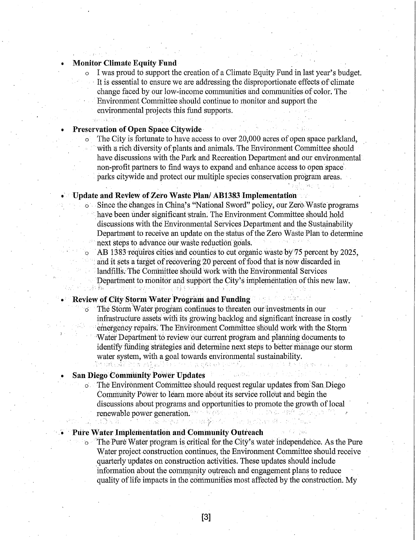#### **Monitor Climate Equity Fund**

 $\circ$ 

 $\circ$  .

I was proud to support the creation of a Climate Equity Fund in last year's budget. It is essential to ensure we are addressing the disproportionate effects of climate change faced by our low-income communities and communities of color. The Environment Committee should continue to monitor and support the environmental projects this fund supports.

# **Preservation of Open Space Citywide**

The City is fortunate to have access to over 20,000 acres of open space parkland, with a rich diversity of plants and animals. The Environment Committee should have discussions with the Park and Recreation Department and our environmental non-profit partners to find ways to expand and enhance access to open space parks citywide and protect our multiple species conservation program areas.

### **Update and Review of Zero Waste Plan/ AB1383 Implementation**

Since the changes in China's "National Sword" policy, our Zero Waste programs have been under significant strain. The Environment Committee should hold discussions with the Environmental Services Department and the Sustainability Department to receive an update on the status of the Zero Waste Plan to determine next steps to advance our waste reduction goals.

AB 1383 requires cities and counties to cut organic waste by 75 percent by 2025. and it sets a target of recovering 20 percent of food that is now discarded in landfills. The Committee should work with the Environmental Services Department to monitor and support the City's implementation of this new law.

#### **Review of City Storm Water Program and Funding**

The Storm Water program continues to threaten our investments in our infrastructure assets with its growing backlog and significant increase in costly emergency repairs. The Environment Committee should work with the Storm Water Department to review our current program and planning documents to identify funding strategies and determine next steps to better manage our storm water system, with a goal towards environmental sustainability.

#### **San Diego Community Power Updates**

The Environment Committee should request regular updates from San Diego Community Power to learn more about its service rollout and begin the discussions about programs and opportunities to promote the growth of local renewable power generation.

## **Pure Water Implementation and Community Outreach**

• The Pure Water program is critical for the City's water independence. As the Pure Water project construction continues, the Environment Committee should receive quarterly updates on construction activities. These updates should include information about the community outreach and engagement plans to reduce quality of life impacts in the communities most affected by the construction. My